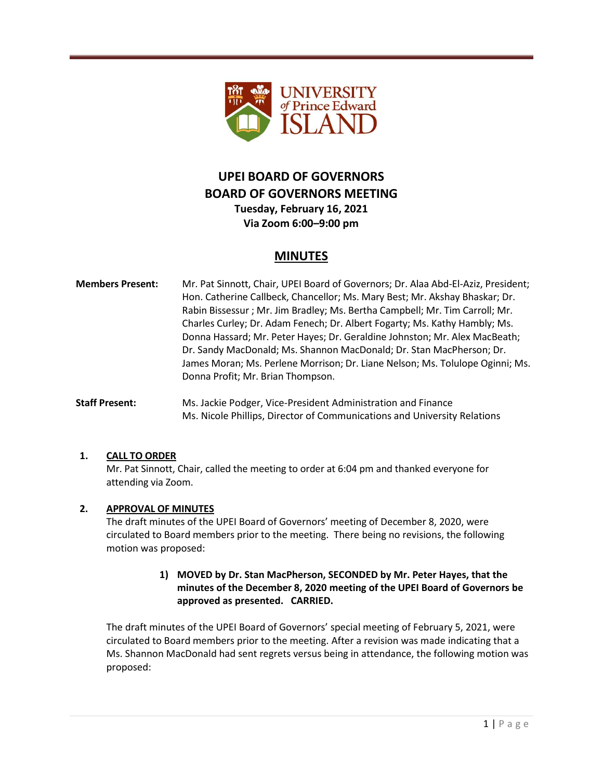

# **UPEI BOARD OF GOVERNORS BOARD OF GOVERNORS MEETING**

**Tuesday, February 16, 2021 Via Zoom 6:00–9:00 pm**

## **MINUTES**

- **Members Present:** Mr. Pat Sinnott, Chair, UPEI Board of Governors; Dr. Alaa Abd-El-Aziz, President; Hon. Catherine Callbeck, Chancellor; Ms. Mary Best; Mr. Akshay Bhaskar; Dr. Rabin Bissessur ; Mr. Jim Bradley; Ms. Bertha Campbell; Mr. Tim Carroll; Mr. Charles Curley; Dr. Adam Fenech; Dr. Albert Fogarty; Ms. Kathy Hambly; Ms. Donna Hassard; Mr. Peter Hayes; Dr. Geraldine Johnston; Mr. Alex MacBeath; Dr. Sandy MacDonald; Ms. Shannon MacDonald; Dr. Stan MacPherson; Dr. James Moran; Ms. Perlene Morrison; Dr. Liane Nelson; Ms. Tolulope Oginni; Ms. Donna Profit; Mr. Brian Thompson.
- **Staff Present:** Ms. Jackie Podger, Vice-President Administration and Finance Ms. Nicole Phillips, Director of Communications and University Relations

#### **1. CALL TO ORDER**

Mr. Pat Sinnott, Chair, called the meeting to order at 6:04 pm and thanked everyone for attending via Zoom.

#### **2. APPROVAL OF MINUTES**

The draft minutes of the UPEI Board of Governors' meeting of December 8, 2020, were circulated to Board members prior to the meeting. There being no revisions, the following motion was proposed:

### **1) MOVED by Dr. Stan MacPherson, SECONDED by Mr. Peter Hayes, that the minutes of the December 8, 2020 meeting of the UPEI Board of Governors be approved as presented. CARRIED.**

The draft minutes of the UPEI Board of Governors' special meeting of February 5, 2021, were circulated to Board members prior to the meeting. After a revision was made indicating that a Ms. Shannon MacDonald had sent regrets versus being in attendance, the following motion was proposed: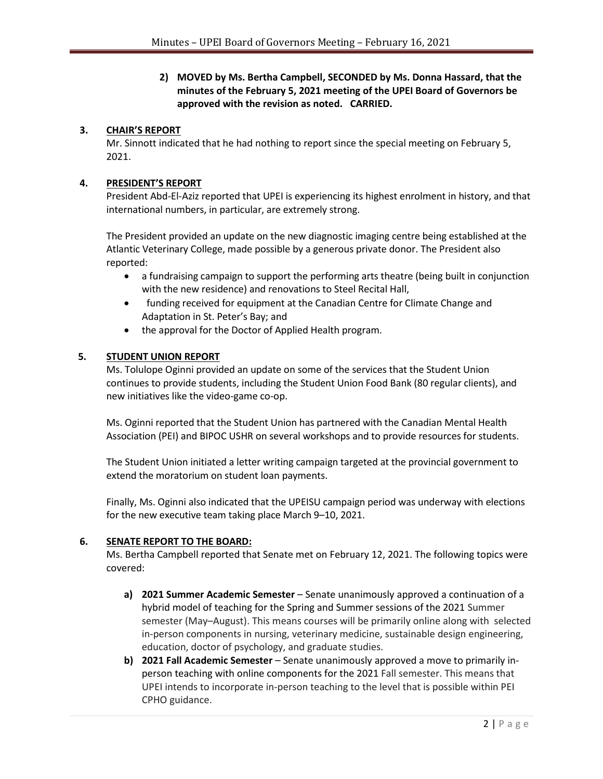**2) MOVED by Ms. Bertha Campbell, SECONDED by Ms. Donna Hassard, that the minutes of the February 5, 2021 meeting of the UPEI Board of Governors be approved with the revision as noted. CARRIED.**

#### **3. CHAIR'S REPORT**

Mr. Sinnott indicated that he had nothing to report since the special meeting on February 5, 2021.

#### **4. PRESIDENT'S REPORT**

President Abd-El-Aziz reported that UPEI is experiencing its highest enrolment in history, and that international numbers, in particular, are extremely strong.

The President provided an update on the new diagnostic imaging centre being established at the Atlantic Veterinary College, made possible by a generous private donor. The President also reported:

- a fundraising campaign to support the performing arts theatre (being built in conjunction with the new residence) and renovations to Steel Recital Hall,
- funding received for equipment at the Canadian Centre for Climate Change and Adaptation in St. Peter's Bay; and
- the approval for the Doctor of Applied Health program.

#### **5. STUDENT UNION REPORT**

Ms. Tolulope Oginni provided an update on some of the services that the Student Union continues to provide students, including the Student Union Food Bank (80 regular clients), and new initiatives like the video-game co-op.

Ms. Oginni reported that the Student Union has partnered with the Canadian Mental Health Association (PEI) and BIPOC USHR on several workshops and to provide resources for students.

The Student Union initiated a letter writing campaign targeted at the provincial government to extend the moratorium on student loan payments.

Finally, Ms. Oginni also indicated that the UPEISU campaign period was underway with elections for the new executive team taking place March 9–10, 2021.

#### **6. SENATE REPORT TO THE BOARD:**

Ms. Bertha Campbell reported that Senate met on February 12, 2021. The following topics were covered:

- **a) 2021 Summer Academic Semester** Senate unanimously approved a continuation of a hybrid model of teaching for the Spring and Summer sessions of the 2021 Summer semester (May–August). This means courses will be primarily online along with selected in-person components in nursing, veterinary medicine, sustainable design engineering, education, doctor of psychology, and graduate studies.
- **b) 2021 Fall Academic Semester** Senate unanimously approved a move to primarily inperson teaching with online components for the 2021 Fall semester. This means that UPEI intends to incorporate in-person teaching to the level that is possible within PEI CPHO guidance.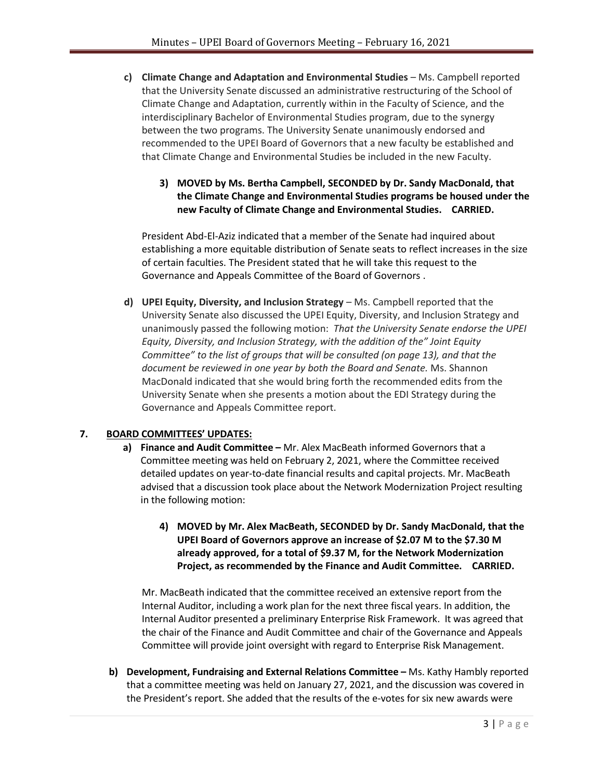- **c) Climate Change and Adaptation and Environmental Studies**  Ms. Campbell reported that the University Senate discussed an administrative restructuring of the School of Climate Change and Adaptation, currently within in the Faculty of Science, and the interdisciplinary Bachelor of Environmental Studies program, due to the synergy between the two programs. The University Senate unanimously endorsed and recommended to the UPEI Board of Governors that a new faculty be established and that Climate Change and Environmental Studies be included in the new Faculty.
	- **3) MOVED by Ms. Bertha Campbell, SECONDED by Dr. Sandy MacDonald, that the Climate Change and Environmental Studies programs be housed under the new Faculty of Climate Change and Environmental Studies. CARRIED.**

President Abd-El-Aziz indicated that a member of the Senate had inquired about establishing a more equitable distribution of Senate seats to reflect increases in the size of certain faculties. The President stated that he will take this request to the Governance and Appeals Committee of the Board of Governors .

**d) UPEI Equity, Diversity, and Inclusion Strategy** – Ms. Campbell reported that the University Senate also discussed the UPEI Equity, Diversity, and Inclusion Strategy and unanimously passed the following motion: *That the University Senate endorse the UPEI Equity, Diversity, and Inclusion Strategy, with the addition of the" Joint Equity Committee" to the list of groups that will be consulted (on page 13), and that the document be reviewed in one year by both the Board and Senate.* Ms. Shannon MacDonald indicated that she would bring forth the recommended edits from the University Senate when she presents a motion about the EDI Strategy during the Governance and Appeals Committee report.

#### **7. BOARD COMMITTEES' UPDATES:**

- **a) Finance and Audit Committee –** Mr. Alex MacBeath informed Governors that a Committee meeting was held on February 2, 2021, where the Committee received detailed updates on year-to-date financial results and capital projects. Mr. MacBeath advised that a discussion took place about the Network Modernization Project resulting in the following motion:
	- **4) MOVED by Mr. Alex MacBeath, SECONDED by Dr. Sandy MacDonald, that the UPEI Board of Governors approve an increase of \$2.07 M to the \$7.30 M already approved, for a total of \$9.37 M, for the Network Modernization Project, as recommended by the Finance and Audit Committee. CARRIED.**

Mr. MacBeath indicated that the committee received an extensive report from the Internal Auditor, including a work plan for the next three fiscal years. In addition, the Internal Auditor presented a preliminary Enterprise Risk Framework. It was agreed that the chair of the Finance and Audit Committee and chair of the Governance and Appeals Committee will provide joint oversight with regard to Enterprise Risk Management.

**b) Development, Fundraising and External Relations Committee –** Ms. Kathy Hambly reported that a committee meeting was held on January 27, 2021, and the discussion was covered in the President's report. She added that the results of the e-votes for six new awards were